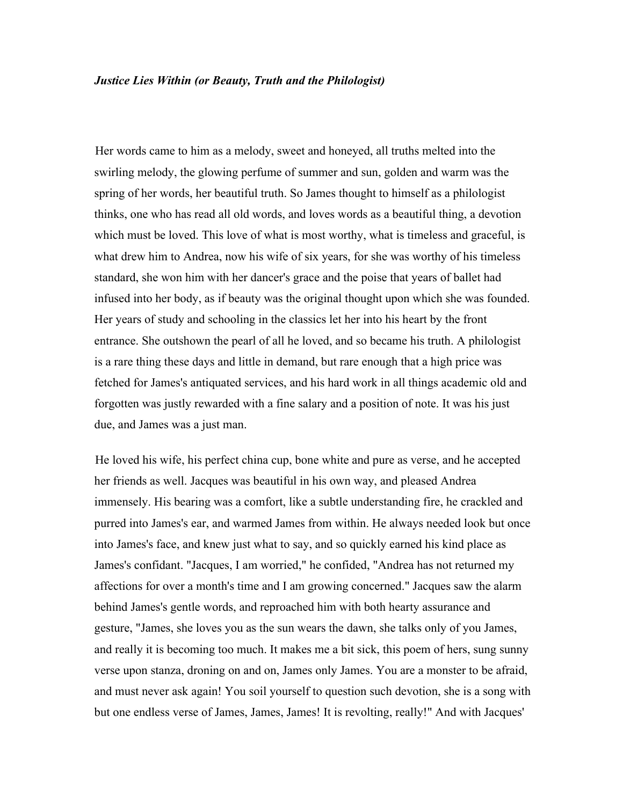Her words came to him as a melody, sweet and honeyed, all truths melted into the swirling melody, the glowing perfume of summer and sun, golden and warm was the spring of her words, her beautiful truth. So James thought to himself as a philologist thinks, one who has read all old words, and loves words as a beautiful thing, a devotion which must be loved. This love of what is most worthy, what is timeless and graceful, is what drew him to Andrea, now his wife of six years, for she was worthy of his timeless standard, she won him with her dancer's grace and the poise that years of ballet had infused into her body, as if beauty was the original thought upon which she was founded. Her years of study and schooling in the classics let her into his heart by the front entrance. She outshown the pearl of all he loved, and so became his truth. A philologist is a rare thing these days and little in demand, but rare enough that a high price was fetched for James's antiquated services, and his hard work in all things academic old and forgotten was justly rewarded with a fine salary and a position of note. It was his just due, and James was a just man.

He loved his wife, his perfect china cup, bone white and pure as verse, and he accepted her friends as well. Jacques was beautiful in his own way, and pleased Andrea immensely. His bearing was a comfort, like a subtle understanding fire, he crackled and purred into James's ear, and warmed James from within. He always needed look but once into James's face, and knew just what to say, and so quickly earned his kind place as James's confidant. "Jacques, I am worried," he confided, "Andrea has not returned my affections for over a month's time and I am growing concerned." Jacques saw the alarm behind James's gentle words, and reproached him with both hearty assurance and gesture, "James, she loves you as the sun wears the dawn, she talks only of you James, and really it is becoming too much. It makes me a bit sick, this poem of hers, sung sunny verse upon stanza, droning on and on, James only James. You are a monster to be afraid, and must never ask again! You soil yourself to question such devotion, she is a song with but one endless verse of James, James, James! It is revolting, really!" And with Jacques'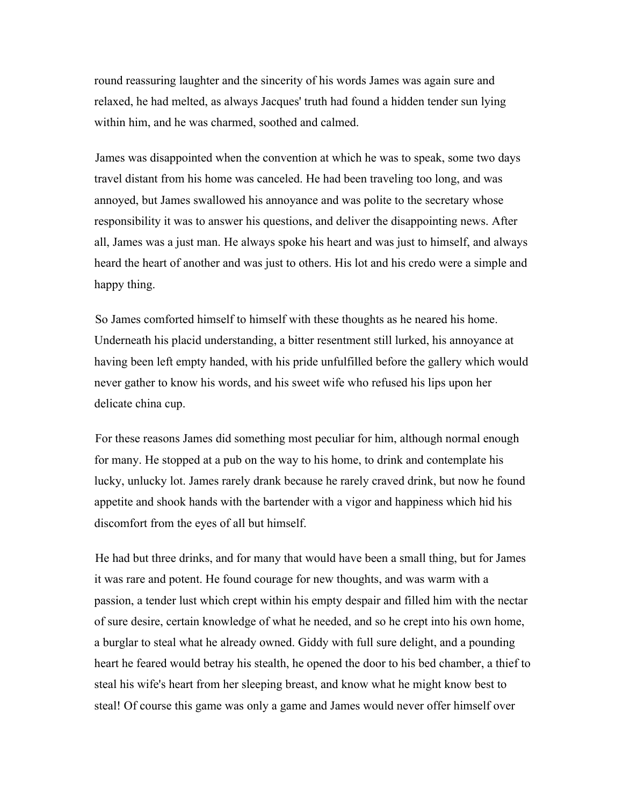round reassuring laughter and the sincerity of his words James was again sure and relaxed, he had melted, as always Jacques' truth had found a hidden tender sun lying within him, and he was charmed, soothed and calmed.

James was disappointed when the convention at which he was to speak, some two days travel distant from his home was canceled. He had been traveling too long, and was annoyed, but James swallowed his annoyance and was polite to the secretary whose responsibility it was to answer his questions, and deliver the disappointing news. After all, James was a just man. He always spoke his heart and was just to himself, and always heard the heart of another and was just to others. His lot and his credo were a simple and happy thing.

So James comforted himself to himself with these thoughts as he neared his home. Underneath his placid understanding, a bitter resentment still lurked, his annoyance at having been left empty handed, with his pride unfulfilled before the gallery which would never gather to know his words, and his sweet wife who refused his lips upon her delicate china cup.

For these reasons James did something most peculiar for him, although normal enough for many. He stopped at a pub on the way to his home, to drink and contemplate his lucky, unlucky lot. James rarely drank because he rarely craved drink, but now he found appetite and shook hands with the bartender with a vigor and happiness which hid his discomfort from the eyes of all but himself.

He had but three drinks, and for many that would have been a small thing, but for James it was rare and potent. He found courage for new thoughts, and was warm with a passion, a tender lust which crept within his empty despair and filled him with the nectar of sure desire, certain knowledge of what he needed, and so he crept into his own home, a burglar to steal what he already owned. Giddy with full sure delight, and a pounding heart he feared would betray his stealth, he opened the door to his bed chamber, a thief to steal his wife's heart from her sleeping breast, and know what he might know best to steal! Of course this game was only a game and James would never offer himself over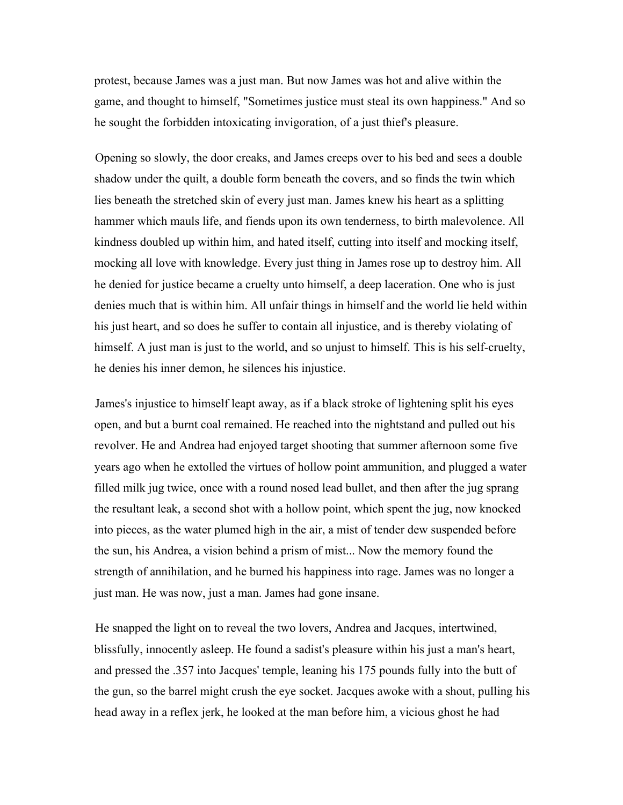protest, because James was a just man. But now James was hot and alive within the game, and thought to himself, "Sometimes justice must steal its own happiness." And so he sought the forbidden intoxicating invigoration, of a just thief's pleasure.

Opening so slowly, the door creaks, and James creeps over to his bed and sees a double shadow under the quilt, a double form beneath the covers, and so finds the twin which lies beneath the stretched skin of every just man. James knew his heart as a splitting hammer which mauls life, and fiends upon its own tenderness, to birth malevolence. All kindness doubled up within him, and hated itself, cutting into itself and mocking itself, mocking all love with knowledge. Every just thing in James rose up to destroy him. All he denied for justice became a cruelty unto himself, a deep laceration. One who is just denies much that is within him. All unfair things in himself and the world lie held within his just heart, and so does he suffer to contain all injustice, and is thereby violating of himself. A just man is just to the world, and so unjust to himself. This is his self-cruelty, he denies his inner demon, he silences his injustice.

James's injustice to himself leapt away, as if a black stroke of lightening split his eyes open, and but a burnt coal remained. He reached into the nightstand and pulled out his revolver. He and Andrea had enjoyed target shooting that summer afternoon some five years ago when he extolled the virtues of hollow point ammunition, and plugged a water filled milk jug twice, once with a round nosed lead bullet, and then after the jug sprang the resultant leak, a second shot with a hollow point, which spent the jug, now knocked into pieces, as the water plumed high in the air, a mist of tender dew suspended before the sun, his Andrea, a vision behind a prism of mist... Now the memory found the strength of annihilation, and he burned his happiness into rage. James was no longer a just man. He was now, just a man. James had gone insane.

He snapped the light on to reveal the two lovers, Andrea and Jacques, intertwined, blissfully, innocently asleep. He found a sadist's pleasure within his just a man's heart, and pressed the .357 into Jacques' temple, leaning his 175 pounds fully into the butt of the gun, so the barrel might crush the eye socket. Jacques awoke with a shout, pulling his head away in a reflex jerk, he looked at the man before him, a vicious ghost he had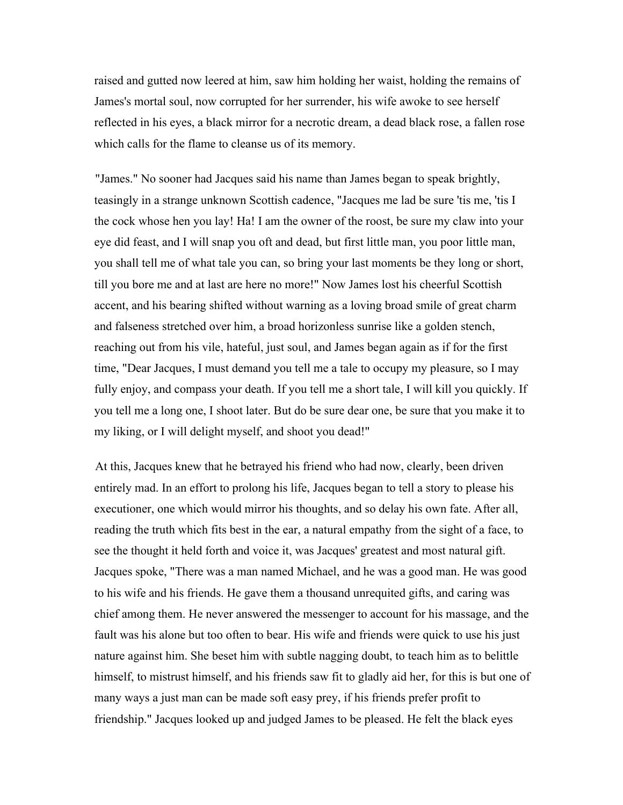raised and gutted now leered at him, saw him holding her waist, holding the remains of James's mortal soul, now corrupted for her surrender, his wife awoke to see herself reflected in his eyes, a black mirror for a necrotic dream, a dead black rose, a fallen rose which calls for the flame to cleanse us of its memory.

"James." No sooner had Jacques said his name than James began to speak brightly, teasingly in a strange unknown Scottish cadence, "Jacques me lad be sure 'tis me, 'tis I the cock whose hen you lay! Ha! I am the owner of the roost, be sure my claw into your eye did feast, and I will snap you oft and dead, but first little man, you poor little man, you shall tell me of what tale you can, so bring your last moments be they long or short, till you bore me and at last are here no more!" Now James lost his cheerful Scottish accent, and his bearing shifted without warning as a loving broad smile of great charm and falseness stretched over him, a broad horizonless sunrise like a golden stench, reaching out from his vile, hateful, just soul, and James began again as if for the first time, "Dear Jacques, I must demand you tell me a tale to occupy my pleasure, so I may fully enjoy, and compass your death. If you tell me a short tale, I will kill you quickly. If you tell me a long one, I shoot later. But do be sure dear one, be sure that you make it to my liking, or I will delight myself, and shoot you dead!"

At this, Jacques knew that he betrayed his friend who had now, clearly, been driven entirely mad. In an effort to prolong his life, Jacques began to tell a story to please his executioner, one which would mirror his thoughts, and so delay his own fate. After all, reading the truth which fits best in the ear, a natural empathy from the sight of a face, to see the thought it held forth and voice it, was Jacques' greatest and most natural gift. Jacques spoke, "There was a man named Michael, and he was a good man. He was good to his wife and his friends. He gave them a thousand unrequited gifts, and caring was chief among them. He never answered the messenger to account for his massage, and the fault was his alone but too often to bear. His wife and friends were quick to use his just nature against him. She beset him with subtle nagging doubt, to teach him as to belittle himself, to mistrust himself, and his friends saw fit to gladly aid her, for this is but one of many ways a just man can be made soft easy prey, if his friends prefer profit to friendship." Jacques looked up and judged James to be pleased. He felt the black eyes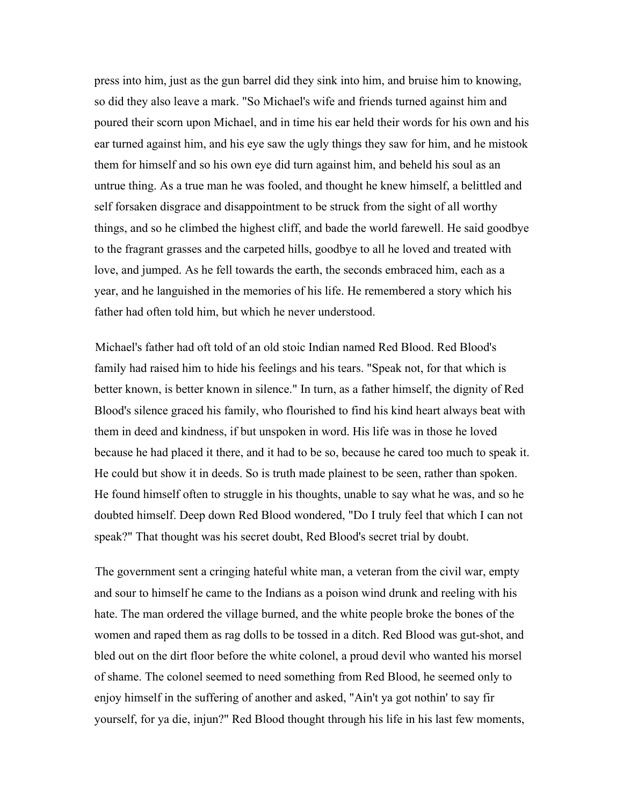press into him, just as the gun barrel did they sink into him, and bruise him to knowing, so did they also leave a mark. "So Michael's wife and friends turned against him and poured their scorn upon Michael, and in time his ear held their words for his own and his ear turned against him, and his eye saw the ugly things they saw for him, and he mistook them for himself and so his own eye did turn against him, and beheld his soul as an untrue thing. As a true man he was fooled, and thought he knew himself, a belittled and self forsaken disgrace and disappointment to be struck from the sight of all worthy things, and so he climbed the highest cliff, and bade the world farewell. He said goodbye to the fragrant grasses and the carpeted hills, goodbye to all he loved and treated with love, and jumped. As he fell towards the earth, the seconds embraced him, each as a year, and he languished in the memories of his life. He remembered a story which his father had often told him, but which he never understood.

Michael's father had oft told of an old stoic Indian named Red Blood. Red Blood's family had raised him to hide his feelings and his tears. "Speak not, for that which is better known, is better known in silence." In turn, as a father himself, the dignity of Red Blood's silence graced his family, who flourished to find his kind heart always beat with them in deed and kindness, if but unspoken in word. His life was in those he loved because he had placed it there, and it had to be so, because he cared too much to speak it. He could but show it in deeds. So is truth made plainest to be seen, rather than spoken. He found himself often to struggle in his thoughts, unable to say what he was, and so he doubted himself. Deep down Red Blood wondered, "Do I truly feel that which I can not speak?" That thought was his secret doubt, Red Blood's secret trial by doubt.

The government sent a cringing hateful white man, a veteran from the civil war, empty and sour to himself he came to the Indians as a poison wind drunk and reeling with his hate. The man ordered the village burned, and the white people broke the bones of the women and raped them as rag dolls to be tossed in a ditch. Red Blood was gut-shot, and bled out on the dirt floor before the white colonel, a proud devil who wanted his morsel of shame. The colonel seemed to need something from Red Blood, he seemed only to enjoy himself in the suffering of another and asked, "Ain't ya got nothin' to say fir yourself, for ya die, injun?" Red Blood thought through his life in his last few moments,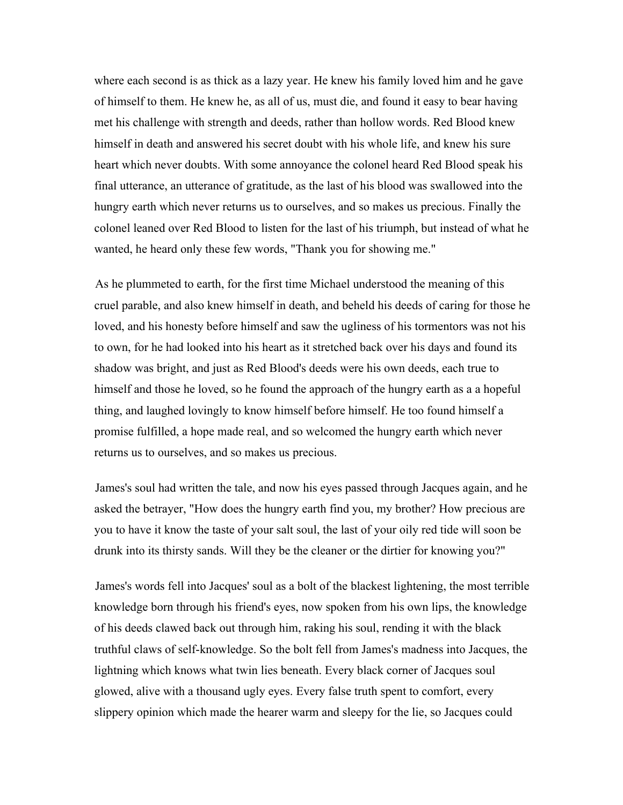where each second is as thick as a lazy year. He knew his family loved him and he gave of himself to them. He knew he, as all of us, must die, and found it easy to bear having met his challenge with strength and deeds, rather than hollow words. Red Blood knew himself in death and answered his secret doubt with his whole life, and knew his sure heart which never doubts. With some annoyance the colonel heard Red Blood speak his final utterance, an utterance of gratitude, as the last of his blood was swallowed into the hungry earth which never returns us to ourselves, and so makes us precious. Finally the colonel leaned over Red Blood to listen for the last of his triumph, but instead of what he wanted, he heard only these few words, "Thank you for showing me."

As he plummeted to earth, for the first time Michael understood the meaning of this cruel parable, and also knew himself in death, and beheld his deeds of caring for those he loved, and his honesty before himself and saw the ugliness of his tormentors was not his to own, for he had looked into his heart as it stretched back over his days and found its shadow was bright, and just as Red Blood's deeds were his own deeds, each true to himself and those he loved, so he found the approach of the hungry earth as a a hopeful thing, and laughed lovingly to know himself before himself. He too found himself a promise fulfilled, a hope made real, and so welcomed the hungry earth which never returns us to ourselves, and so makes us precious.

James's soul had written the tale, and now his eyes passed through Jacques again, and he asked the betrayer, "How does the hungry earth find you, my brother? How precious are you to have it know the taste of your salt soul, the last of your oily red tide will soon be drunk into its thirsty sands. Will they be the cleaner or the dirtier for knowing you?"

James's words fell into Jacques' soul as a bolt of the blackest lightening, the most terrible knowledge born through his friend's eyes, now spoken from his own lips, the knowledge of his deeds clawed back out through him, raking his soul, rending it with the black truthful claws of self-knowledge. So the bolt fell from James's madness into Jacques, the lightning which knows what twin lies beneath. Every black corner of Jacques soul glowed, alive with a thousand ugly eyes. Every false truth spent to comfort, every slippery opinion which made the hearer warm and sleepy for the lie, so Jacques could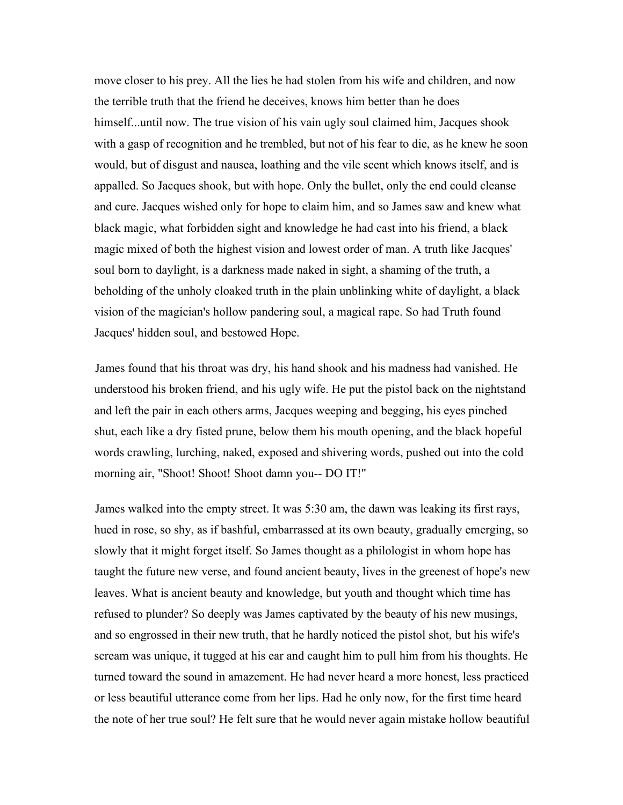move closer to his prey. All the lies he had stolen from his wife and children, and now the terrible truth that the friend he deceives, knows him better than he does himself...until now. The true vision of his vain ugly soul claimed him, Jacques shook with a gasp of recognition and he trembled, but not of his fear to die, as he knew he soon would, but of disgust and nausea, loathing and the vile scent which knows itself, and is appalled. So Jacques shook, but with hope. Only the bullet, only the end could cleanse and cure. Jacques wished only for hope to claim him, and so James saw and knew what black magic, what forbidden sight and knowledge he had cast into his friend, a black magic mixed of both the highest vision and lowest order of man. A truth like Jacques' soul born to daylight, is a darkness made naked in sight, a shaming of the truth, a beholding of the unholy cloaked truth in the plain unblinking white of daylight, a black vision of the magician's hollow pandering soul, a magical rape. So had Truth found Jacques' hidden soul, and bestowed Hope.

James found that his throat was dry, his hand shook and his madness had vanished. He understood his broken friend, and his ugly wife. He put the pistol back on the nightstand and left the pair in each others arms, Jacques weeping and begging, his eyes pinched shut, each like a dry fisted prune, below them his mouth opening, and the black hopeful words crawling, lurching, naked, exposed and shivering words, pushed out into the cold morning air, "Shoot! Shoot! Shoot damn you-- DO IT!"

James walked into the empty street. It was 5:30 am, the dawn was leaking its first rays, hued in rose, so shy, as if bashful, embarrassed at its own beauty, gradually emerging, so slowly that it might forget itself. So James thought as a philologist in whom hope has taught the future new verse, and found ancient beauty, lives in the greenest of hope's new leaves. What is ancient beauty and knowledge, but youth and thought which time has refused to plunder? So deeply was James captivated by the beauty of his new musings, and so engrossed in their new truth, that he hardly noticed the pistol shot, but his wife's scream was unique, it tugged at his ear and caught him to pull him from his thoughts. He turned toward the sound in amazement. He had never heard a more honest, less practiced or less beautiful utterance come from her lips. Had he only now, for the first time heard the note of her true soul? He felt sure that he would never again mistake hollow beautiful